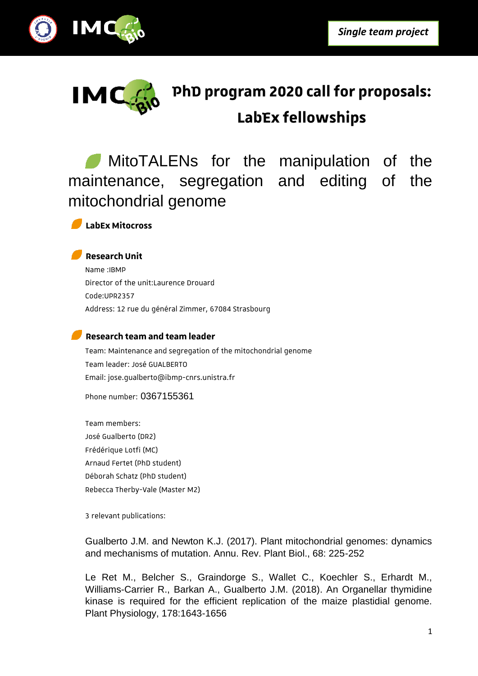



# **PhD program 2020 call for proposals: LabEx fellowships**

MitoTALENs for the manipulation of the maintenance, segregation and editing of the mitochondrial genome



#### **Research Unit**

Name :IBMP Director of the unit:Laurence Drouard Code:UPR2357 Address: 12 rue du général Zimmer, 67084 Strasbourg

### **Research team and team leader**

Team: Maintenance and segregation of the mitochondrial genome Team leader: José GUALBERTO Email: jose.gualberto@ibmp-cnrs.unistra.fr

Phone number: 0367155361

Team members: José Gualberto (DR2) Frédérique Lotfi (MC) Arnaud Fertet (PhD student) Déborah Schatz (PhD student) Rebecca Therby-Vale (Master M2)

3 relevant publications:

Gualberto J.M. and Newton K.J. (2017). Plant mitochondrial genomes: dynamics and mechanisms of mutation. Annu. Rev. Plant Biol., 68: 225-252

Le Ret M., Belcher S., Graindorge S., Wallet C., Koechler S., Erhardt M., Williams-Carrier R., Barkan A., Gualberto J.M. (2018). An Organellar thymidine kinase is required for the efficient replication of the maize plastidial genome. Plant Physiology, 178:1643-1656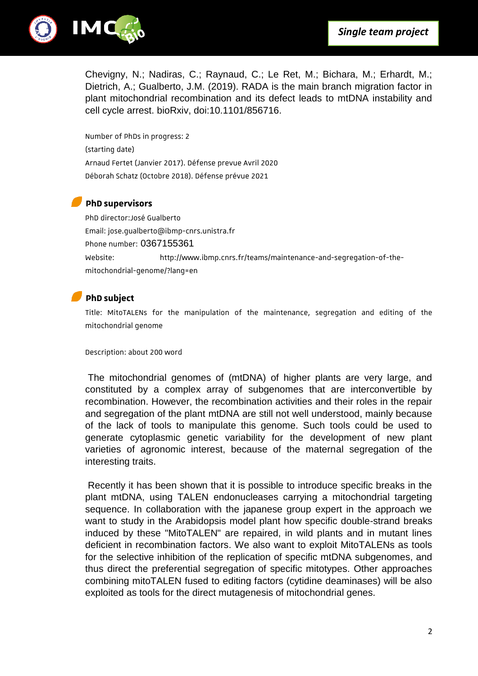

Chevigny, N.; Nadiras, C.; Raynaud, C.; Le Ret, M.; Bichara, M.; Erhardt, M.; Dietrich, A.; Gualberto, J.M. (2019). RADA is the main branch migration factor in plant mitochondrial recombination and its defect leads to mtDNA instability and cell cycle arrest. bioRxiv, doi:10.1101/856716.

Number of PhDs in progress: 2 (starting date) Arnaud Fertet (Janvier 2017). Défense prevue Avril 2020 Déborah Schatz (Octobre 2018). Défense prévue 2021

#### **PhD supervisors**

PhD director:José Gualberto Email: jose.gualberto@ibmp-cnrs.unistra.fr Phone number: 0367155361 Website: http://www.ibmp.cnrs.fr/teams/maintenance-and-segregation-of-themitochondrial-genome/?lang=en

## **PhD subject**

Title: MitoTALENs for the manipulation of the maintenance, segregation and editing of the mitochondrial genome

Description: about 200 word

The mitochondrial genomes of (mtDNA) of higher plants are very large, and constituted by a complex array of subgenomes that are interconvertible by recombination. However, the recombination activities and their roles in the repair and segregation of the plant mtDNA are still not well understood, mainly because of the lack of tools to manipulate this genome. Such tools could be used to generate cytoplasmic genetic variability for the development of new plant varieties of agronomic interest, because of the maternal segregation of the interesting traits.

Recently it has been shown that it is possible to introduce specific breaks in the plant mtDNA, using TALEN endonucleases carrying a mitochondrial targeting sequence. In collaboration with the japanese group expert in the approach we want to study in the Arabidopsis model plant how specific double-strand breaks induced by these "MitoTALEN" are repaired, in wild plants and in mutant lines deficient in recombination factors. We also want to exploit MitoTALENs as tools for the selective inhibition of the replication of specific mtDNA subgenomes, and thus direct the preferential segregation of specific mitotypes. Other approaches combining mitoTALEN fused to editing factors (cytidine deaminases) will be also exploited as tools for the direct mutagenesis of mitochondrial genes.